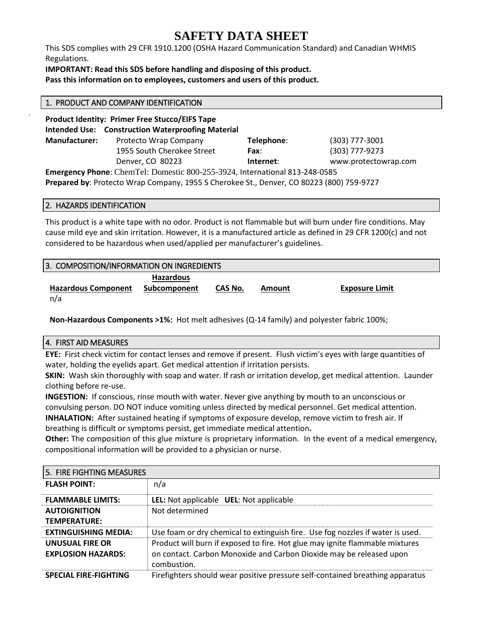# **SAFETY DATA SHEET**

This SDS complies with 29 CFR 1910.1200 (OSHA Hazard Communication Standard) and Canadian WHMIS Regulations.

**IMPORTANT: Read this SDS before handling and disposing of this product.**

**Pass this information on to employees, customers and users of this product.**

| 1. PRODUCT AND COMPANY IDENTIFICATION                                                                                                                                   |                                                                                                                   |            |                      |  |  |
|-------------------------------------------------------------------------------------------------------------------------------------------------------------------------|-------------------------------------------------------------------------------------------------------------------|------------|----------------------|--|--|
|                                                                                                                                                                         | <b>Product Identity: Primer Free Stucco/EIFS Tape</b><br><b>Intended Use: Construction Waterproofing Material</b> |            |                      |  |  |
| <b>Manufacturer:</b>                                                                                                                                                    | Protecto Wrap Company                                                                                             | Telephone: | (303) 777-3001       |  |  |
|                                                                                                                                                                         | 1955 South Cherokee Street                                                                                        | Fax:       | (303) 777-9273       |  |  |
|                                                                                                                                                                         | Denver, CO 80223                                                                                                  | Internet:  | www.protectowrap.com |  |  |
| Emergency Phone: ChemTel: Domestic 800-255-3924, International 813-248-0585<br>Prepared by: Protecto Wrap Company, 1955 S Cherokee St., Denver, CO 80223 (800) 759-9727 |                                                                                                                   |            |                      |  |  |
|                                                                                                                                                                         |                                                                                                                   |            |                      |  |  |

### 2. HAZARDS IDENTIFICATION

This product is a white tape with no odor. Product is not flammable but will burn under fire conditions. May cause mild eye and skin irritation. However, it is a manufactured article as defined in 29 CFR 1200(c) and not considered to be hazardous when used/applied per manufacturer's guidelines.

| 3. COMPOSITION/INFORMATION ON INGREDIENTS |                                  |         |        |                       |
|-------------------------------------------|----------------------------------|---------|--------|-----------------------|
| <b>Hazardous Component</b>                | <b>Hazardous</b><br>Subcomponent | CAS No. | Amount | <b>Exposure Limit</b> |
| n/a                                       |                                  |         |        |                       |

**Non-Hazardous Components >1%:** Hot melt adhesives (Q-14 family) and polyester fabric 100%;

# 4. FIRST AID MEASURES

**EYE:** First check victim for contact lenses and remove if present. Flush victim's eyes with large quantities of water, holding the eyelids apart. Get medical attention if irritation persists.

**SKIN:** Wash skin thoroughly with soap and water. If rash or irritation develop, get medical attention. Launder clothing before re-use.

**INGESTION:** If conscious, rinse mouth with water. Never give anything by mouth to an unconscious or convulsing person. DO NOT induce vomiting unless directed by medical personnel. Get medical attention. **INHALATION:** After sustained heating if symptoms of exposure develop, remove victim to fresh air. If

breathing is difficult or symptoms persist, get immediate medical attention**.**

**Other:** The composition of this glue mixture is proprietary information. In the event of a medical emergency, compositional information will be provided to a physician or nurse.

| 5. FIRE FIGHTING MEASURES                    |                                                                                                                                                                    |
|----------------------------------------------|--------------------------------------------------------------------------------------------------------------------------------------------------------------------|
| <b>FLASH POINT:</b>                          | n/a                                                                                                                                                                |
| <b>FLAMMABLE LIMITS:</b>                     | LEL: Not applicable UEL: Not applicable                                                                                                                            |
| <b>AUTOIGNITION</b><br>TEMPERATURE:          | Not determined                                                                                                                                                     |
| <b>EXTINGUISHING MEDIA:</b>                  | Use foam or dry chemical to extinguish fire. Use fog nozzles if water is used.                                                                                     |
| UNUSUAL FIRE OR<br><b>EXPLOSION HAZARDS:</b> | Product will burn if exposed to fire. Hot glue may ignite flammable mixtures<br>on contact. Carbon Monoxide and Carbon Dioxide may be released upon<br>combustion. |
| <b>SPECIAL FIRE-FIGHTING</b>                 | Firefighters should wear positive pressure self-contained breathing apparatus                                                                                      |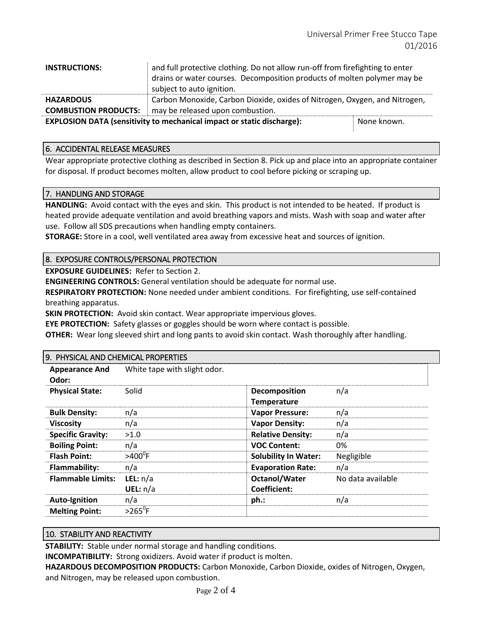| <b>INSTRUCTIONS:</b>                                                                         | and full protective clothing. Do not allow run-off from firefighting to enter |  |  |  |
|----------------------------------------------------------------------------------------------|-------------------------------------------------------------------------------|--|--|--|
|                                                                                              | drains or water courses. Decomposition products of molten polymer may be      |  |  |  |
|                                                                                              | subject to auto ignition.                                                     |  |  |  |
| <b>HAZARDOUS</b>                                                                             | Carbon Monoxide, Carbon Dioxide, oxides of Nitrogen, Oxygen, and Nitrogen,    |  |  |  |
| <b>COMBUSTION PRODUCTS:</b>                                                                  | may be released upon combustion.                                              |  |  |  |
| <b>EXPLOSION DATA (sensitivity to mechanical impact or static discharge):</b><br>None known. |                                                                               |  |  |  |

## 6. ACCIDENTAL RELEASE MEASURES

Wear appropriate protective clothing as described in Section 8. Pick up and place into an appropriate container for disposal. If product becomes molten, allow product to cool before picking or scraping up.

#### 7. HANDLING AND STORAGE

**HANDLING:** Avoid contact with the eyes and skin. This product is not intended to be heated. If product is heated provide adequate ventilation and avoid breathing vapors and mists. Wash with soap and water after use. Follow all SDS precautions when handling empty containers.

**STORAGE:** Store in a cool, well ventilated area away from excessive heat and sources of ignition.

# 8. EXPOSURE CONTROLS/PERSONAL PROTECTION

**EXPOSURE GUIDELINES:** Refer to Section 2.

**ENGINEERING CONTROLS:** General ventilation should be adequate for normal use.

**RESPIRATORY PROTECTION:** None needed under ambient conditions. For firefighting, use self-contained breathing apparatus.

**SKIN PROTECTION:** Avoid skin contact. Wear appropriate impervious gloves.

**EYE PROTECTION:** Safety glasses or goggles should be worn where contact is possible.

**OTHER:** Wear long sleeved shirt and long pants to avoid skin contact. Wash thoroughly after handling.

| <b>Appearance And</b><br>Odor: | White tape with slight odor. |                                     |                   |
|--------------------------------|------------------------------|-------------------------------------|-------------------|
| <b>Physical State:</b>         | Solid                        | Decomposition<br><b>Temperature</b> | n/a               |
| <b>Bulk Density:</b>           | n/a                          | <b>Vapor Pressure:</b>              | n/a               |
| <b>Viscosity</b>               | n/a                          | <b>Vapor Density:</b>               | n/a               |
| <b>Specific Gravity:</b>       | >1.0                         | <b>Relative Density:</b>            | n/a               |
| <b>Boiling Point:</b>          | n/a                          | <b>VOC Content:</b>                 | 0%                |
| <b>Flash Point:</b>            | $>400^{\circ}$ F             | <b>Solubility In Water:</b>         | Negligible        |
| <b>Flammability:</b>           | n/a                          | <b>Evaporation Rate:</b>            | n/a               |
| <b>Flammable Limits:</b>       | LEL: $n/a$                   | Octanol/Water                       | No data available |
|                                | UEL: $n/a$                   | <b>Coefficient:</b>                 |                   |
| <b>Auto-Ignition</b>           | n/a                          | ph.:                                | n/a               |
| <b>Melting Point:</b>          | $>265$ <sup>o</sup> F        |                                     |                   |

# 10. STABILITY AND REACTIVITY

**STABILITY:** Stable under normal storage and handling conditions.

**INCOMPATIBILITY:** Strong oxidizers. Avoid water if product is molten.

**HAZARDOUS DECOMPOSITION PRODUCTS:** Carbon Monoxide, Carbon Dioxide, oxides of Nitrogen, Oxygen, and Nitrogen, may be released upon combustion.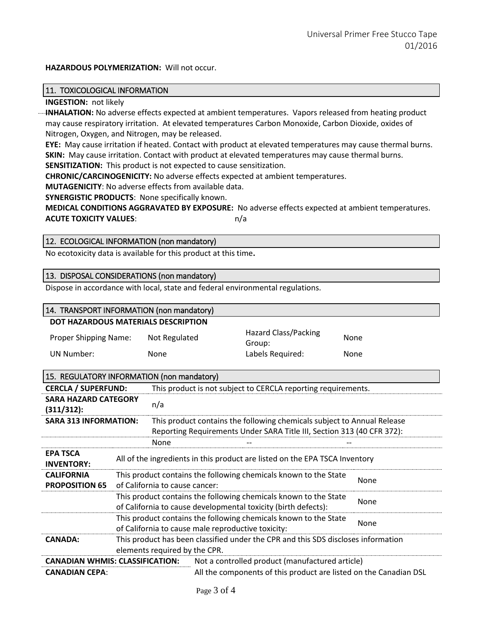#### **HAZARDOUS POLYMERIZATION:** Will not occur.

#### 11. TOXICOLOGICAL INFORMATION

#### **INGESTION:** not likely

**INHALATION:** No adverse effects expected at ambient temperatures. Vapors released from heating product may cause respiratory irritation. At elevated temperatures Carbon Monoxide, Carbon Dioxide, oxides of Nitrogen, Oxygen, and Nitrogen, may be released.

**EYE:** May cause irritation if heated. Contact with product at elevated temperatures may cause thermal burns. **SKIN:** May cause irritation. Contact with product at elevated temperatures may cause thermal burns. **SENSITIZATION:** This product is not expected to cause sensitization.

**CHRONIC/CARCINOGENICITY:** No adverse effects expected at ambient temperatures.

**MUTAGENICITY**: No adverse effects from available data.

**SYNERGISTIC PRODUCTS**: None specifically known.

**MEDICAL CONDITIONS AGGRAVATED BY EXPOSURE:** No adverse effects expected at ambient temperatures. **ACUTE TOXICITY VALUES:** n/a

#### 12. ECOLOGICAL INFORMATION (non mandatory)

No ecotoxicity data is available for this product at this time**.**

### 13. DISPOSAL CONSIDERATIONS (non mandatory)

Dispose in accordance with local, state and federal environmental regulations.

| 14. TRANSPORT INFORMATION (non mandatory)                                                                                                                                         |                                                                                                                                            |                                |  |                                                                             |  |                                                                   |
|-----------------------------------------------------------------------------------------------------------------------------------------------------------------------------------|--------------------------------------------------------------------------------------------------------------------------------------------|--------------------------------|--|-----------------------------------------------------------------------------|--|-------------------------------------------------------------------|
| <b>DOT HAZARDOUS MATERIALS DESCRIPTION</b>                                                                                                                                        |                                                                                                                                            |                                |  |                                                                             |  |                                                                   |
| <b>Proper Shipping Name:</b>                                                                                                                                                      |                                                                                                                                            | Not Regulated                  |  | Hazard Class/Packing<br>Group:                                              |  | None                                                              |
| <b>UN Number:</b>                                                                                                                                                                 | None                                                                                                                                       |                                |  | Labels Required:                                                            |  | None                                                              |
| 15. REGULATORY INFORMATION (non mandatory)                                                                                                                                        |                                                                                                                                            |                                |  |                                                                             |  |                                                                   |
| <b>CERCLA / SUPERFUND:</b>                                                                                                                                                        |                                                                                                                                            |                                |  | This product is not subject to CERCLA reporting requirements.               |  |                                                                   |
| <b>SARA HAZARD CATEGORY</b><br>(311/312):                                                                                                                                         | n/a                                                                                                                                        |                                |  |                                                                             |  |                                                                   |
| <b>SARA 313 INFORMATION:</b><br>This product contains the following chemicals subject to Annual Release<br>Reporting Requirements Under SARA Title III, Section 313 (40 CFR 372): |                                                                                                                                            |                                |  |                                                                             |  |                                                                   |
|                                                                                                                                                                                   |                                                                                                                                            | None                           |  |                                                                             |  |                                                                   |
| <b>EPA TSCA</b><br><b>INVENTORY:</b>                                                                                                                                              |                                                                                                                                            |                                |  | All of the ingredients in this product are listed on the EPA TSCA Inventory |  |                                                                   |
| <b>CALIFORNIA</b><br><b>PROPOSITION 65</b>                                                                                                                                        |                                                                                                                                            | of California to cause cancer: |  | This product contains the following chemicals known to the State            |  | <b>None</b>                                                       |
|                                                                                                                                                                                   | This product contains the following chemicals known to the State<br>None<br>of California to cause developmental toxicity (birth defects): |                                |  |                                                                             |  |                                                                   |
|                                                                                                                                                                                   | This product contains the following chemicals known to the State<br>None<br>of California to cause male reproductive toxicity:             |                                |  |                                                                             |  |                                                                   |
| <b>CANADA:</b>                                                                                                                                                                    | This product has been classified under the CPR and this SDS discloses information<br>elements required by the CPR.                         |                                |  |                                                                             |  |                                                                   |
| <b>CANADIAN WHMIS: CLASSIFICATION:</b>                                                                                                                                            |                                                                                                                                            |                                |  | Not a controlled product (manufactured article)                             |  |                                                                   |
| <b>CANADIAN CEPA:</b>                                                                                                                                                             |                                                                                                                                            |                                |  |                                                                             |  | All the components of this product are listed on the Canadian DSL |